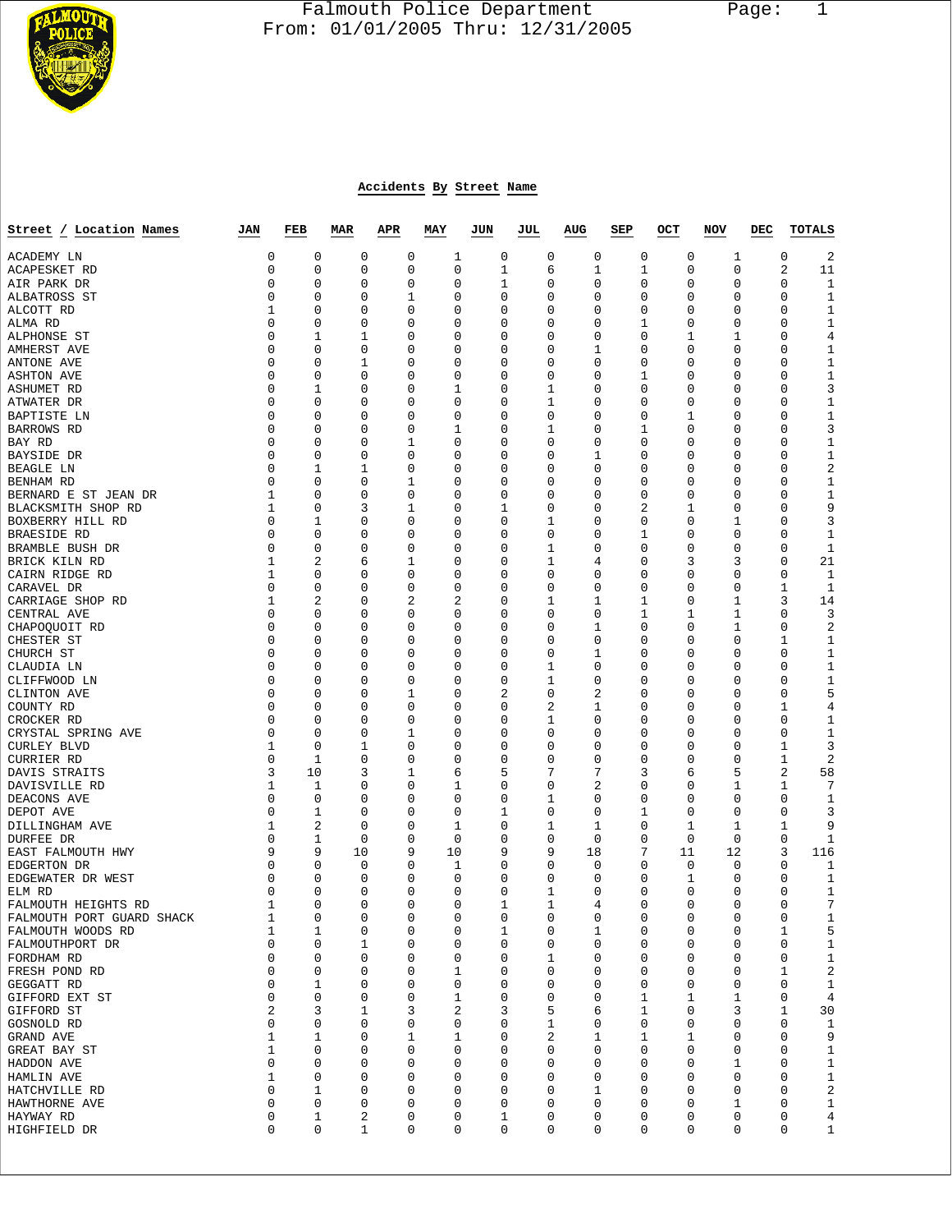

## Falmouth Police Department Page: 1 **From: 01/01/2005 Thru: 12/31/2005**

## **Accidents By Street Name**

| Street / Location Names                        | JAN              | FEB                 | <b>MAR</b>    | APR           | MAY              | JUN                        | JUL | AUG                            | SEP           | OCT | NOV                            | DEC | <b>TOTALS</b>               |
|------------------------------------------------|------------------|---------------------|---------------|---------------|------------------|----------------------------|-----|--------------------------------|---------------|-----|--------------------------------|-----|-----------------------------|
| ACADEMY LN                                     | 0                | 0                   | 0             | 0             | 1                | 0                          |     | 0<br>0                         | 0             |     | 0<br>1                         |     | 2<br>0                      |
| ACAPESKET RD                                   | 0                | 0                   | 0             | 0             | 0                | 1                          |     | 6<br>1                         | 1             |     | 0<br>0                         |     | 2<br>11                     |
| AIR PARK DR                                    | 0                | $\mathbf 0$         | 0             | 0             | 0                | 1                          |     | 0<br>0                         | 0             |     | 0<br>0                         |     | 0<br>1                      |
| ALBATROSS ST                                   | 0                | 0                   | 0             | 1             | 0                | $\mathbf 0$                |     | 0<br>0                         | 0             |     | 0<br>0                         |     | 0<br>1                      |
| ALCOTT RD<br>ALMA RD                           | 1<br>$\mathbf 0$ | 0<br>0              | 0<br>0        | 0<br>0        | 0<br>$\mathbf 0$ | 0<br>$\mathbf 0$           |     | 0<br>0<br>0<br>0               | 0<br>1        |     | 0<br>0<br>0<br>0               |     | 0<br>1<br>$\mathbf{1}$<br>0 |
| ALPHONSE ST                                    | 0                | 1                   | 1             | 0             | 0                | $\mathbf 0$                |     | 0<br>0                         | 0             |     | 1<br>1                         |     | 0<br>4                      |
| AMHERST AVE                                    | 0                | 0                   | 0             | 0             | 0                | 0                          |     | 0<br>1                         | 0             |     | 0<br>0                         |     | 0<br>1                      |
| ANTONE AVE                                     | 0                | 0                   | 1             | 0             | 0                | $\mathbf 0$                |     | 0<br>0                         | 0             |     | 0<br>0                         |     | 0<br>1                      |
| <b>ASHTON AVE</b>                              | 0                | 0                   | 0             | 0             | 0                | $\mathbf 0$                |     | 0<br>0                         | 1             |     | 0<br>0                         |     | 0<br>1                      |
| ASHUMET RD                                     | 0                | 1                   | 0             | 0             | 1                | 0                          |     | 0<br>1                         | 0             |     | 0<br>0                         |     | 3<br>0                      |
| ATWATER DR                                     | $\mathbf 0$      | 0                   | 0             | 0             | 0                | $\mathbf 0$                |     | 1<br>0                         | 0             |     | 0<br>0                         |     | $\mathbf{1}$<br>0           |
| BAPTISTE LN                                    | 0                | 0                   | 0             | 0             | 0                | $\mathbf 0$                |     | 0<br>0                         | 0             |     | 1<br>0                         |     | 0<br>1                      |
| BARROWS RD                                     | 0                | 0<br>$\mathbf 0$    | 0             | 0             | 1<br>0           | 0                          |     | 1<br>0                         | 1             |     | 0<br>0                         |     | 3<br>0                      |
| BAY RD<br>BAYSIDE DR                           | 0<br>0           | 0                   | 0<br>0        | 1<br>0        | 0                | $\mathbf 0$<br>$\mathbf 0$ |     | 0<br>0<br>0<br>1               | 0<br>0        |     | 0<br>0<br>0<br>0               |     | 0<br>1<br>0<br>1            |
| BEAGLE LN                                      | 0                | 1                   | 1             | 0             | 0                | 0                          |     | 0<br>0                         | 0             |     | 0<br>0                         |     | 2<br>0                      |
| BENHAM RD                                      | 0                | 0                   | 0             | 1             | $\mathbf 0$      | $\mathbf 0$                |     | 0<br>0                         | 0             |     | 0<br>0                         |     | $\mathbf{1}$<br>0           |
| BERNARD E ST JEAN DR                           | 1                | 0                   | 0             | 0             | 0                | $\mathbf 0$                |     | 0<br>0                         | 0             |     | 0<br>0                         |     | 0<br>1                      |
| BLACKSMITH SHOP RD                             | 1                | 0                   | 3             | 1             | 0                | 1                          |     | 0<br>0                         | 2             |     | 1<br>0                         |     | 0<br>9                      |
| BOXBERRY HILL RD                               | 0                | 1                   | 0             | 0             | 0                | $\mathbf 0$                |     | 0<br>1                         | 0             |     | 1<br>0                         |     | 3<br>0                      |
| <b>BRAESIDE RD</b>                             | 0                | 0                   | 0             | 0             | 0                | $\mathbf 0$                |     | 0<br>0                         | 1             |     | 0<br>0                         |     | 0<br>1                      |
| BRAMBLE BUSH DR                                | 0                | 0                   | 0             | 0             | 0                | 0                          |     | 0<br>1                         | 0             |     | 0<br>0                         |     | 0<br>1                      |
| BRICK KILN RD                                  | 1<br>1           | $\overline{a}$<br>0 | 6<br>0        | 1<br>0        | $\mathbf 0$<br>0 | $\mathbf 0$<br>$\mathbf 0$ |     | 1<br>4<br>0<br>0               | 0<br>0        |     | 3<br>3<br>0<br>0               |     | 21<br>0<br>0<br>1           |
| CAIRN RIDGE RD<br>CARAVEL DR                   | 0                | 0                   | 0             | 0             | 0                | 0                          |     | 0<br>0                         | 0             |     | 0<br>0                         |     | 1<br>1                      |
| CARRIAGE SHOP RD                               | 1                | $\overline{a}$      | 0             | 2             | 2                | $\mathbf 0$                |     | 1<br>1                         | 1             |     | 0<br>1                         |     | 3<br>14                     |
| CENTRAL AVE                                    | 0                | 0                   | 0             | 0             | 0                | $\mathbf 0$                |     | 0<br>0                         | 1             |     | 1<br>1                         |     | 0<br>3                      |
| CHAPOQUOIT RD                                  | 0                | 0                   | 0             | 0             | 0                | 0                          |     | 0<br>1                         | 0             |     | 0<br>1                         |     | 2<br>0                      |
| CHESTER ST                                     | 0                | 0                   | 0             | 0             | 0                | $\mathbf 0$                |     | 0<br>0                         | 0             |     | 0<br>0                         |     | 1<br>1                      |
| CHURCH ST                                      | 0                | 0                   | 0             | 0             | 0                | $\mathbf 0$                |     | 1<br>0                         | 0             |     | 0<br>0                         |     | 0<br>1                      |
| CLAUDIA LN                                     | 0                | 0                   | 0             | 0             | 0                | 0                          |     | 0<br>1                         | 0             |     | 0<br>0                         |     | 0<br>1                      |
| CLIFFWOOD LN                                   | $\mathbf 0$<br>0 | 0<br>0              | 0<br>0        | 0<br>1        | 0<br>0           | $\mathbf 0$<br>2           |     | 0<br>1<br>0<br>2               | 0<br>0        |     | 0<br>0<br>0<br>0               |     | $\mathbf{1}$<br>0<br>5<br>0 |
| CLINTON AVE<br>COUNTY RD                       | 0                | 0                   | 0             | 0             | 0                | 0                          |     | 2<br>1                         | 0             |     | U<br>0                         |     | 1<br>4                      |
| CROCKER RD                                     | 0                | 0                   | 0             | 0             | $\mathbf 0$      | $\mathbf 0$                |     | 0<br>1                         | 0             |     | 0<br>0                         |     | 0<br>1                      |
| CRYSTAL SPRING AVE                             | 0                | 0                   | 0             | 1             | 0                | $\mathbf 0$                |     | 0<br>0                         | 0             |     | 0<br>0                         |     | 0<br>1                      |
| <b>CURLEY BLVD</b>                             | 1                | 0                   | 1             | 0             | 0                | 0                          |     | 0<br>0                         | 0             |     | 0<br>0                         |     | 3<br>1                      |
| CURRIER RD                                     | 0                | 1                   | 0             | 0             | 0                | 0                          |     | 0<br>0                         | 0             |     | 0<br>0                         |     | 1<br>2                      |
| DAVIS STRAITS                                  | 3                | 10                  | 3             | 1             | 6                | 5                          |     | 7<br>7                         | 3             |     | 5<br>6                         |     | 2<br>58                     |
| DAVISVILLE RD                                  | 1                | 1                   | 0             | 0             | 1                | $\mathbf 0$                |     | 2<br>0                         | 0             |     | 0<br>1                         |     | 7<br>1                      |
| DEACONS AVE                                    | $\mathbf 0$<br>0 | 0<br>1              | 0<br>0        | 0<br>0        | $\mathbf 0$<br>0 | $\mathbf 0$<br>1           |     | 1<br>0<br>0<br>0               | 0<br>1        |     | 0<br>0<br>0<br>0               |     | 0<br>1<br>0<br>3            |
| DEPOT AVE<br>DILLINGHAM AVE                    | 1                | 2                   | 0             | 0             | 1                | 0                          |     | 1<br>1                         | 0             |     | 1<br>1                         |     | 1<br>9                      |
| DURFEE DR                                      | 0                | 1                   | $\mathbf 0$   | 0             | 0                | $\mathbf 0$                |     | 0<br>0                         | 0             |     | 0<br>0                         |     | 0<br>1                      |
| EAST FALMOUTH HWY                              | 9                | 9                   | 10            | 9             | 10               | 9                          |     | 9<br>18                        | 7             | 11  | 12                             |     | 3<br>116                    |
| EDGERTON DR                                    | 0                | 0                   | 0             | $\Omega$      | 1                | 0                          |     | 0<br>0                         | 0             |     | 0<br>0                         |     | 0<br>1                      |
| EDGEWATER DR WEST                              | 0                | 0                   | 0             | 0             | 0                | $\mathbf 0$                |     | 0<br>0                         | 0             |     | 1<br>0                         |     | 0<br>1                      |
| ELM RD                                         | 0                | 0                   | 0             | 0             | 0                | 0                          |     | 0<br>1                         | 0             |     | 0<br>0                         |     | 0<br>1                      |
| FALMOUTH HEIGHTS RD                            | 1<br>1           | 0<br>$\Omega$       | 0<br>$\Omega$ | 0<br>$\Omega$ | 0<br>$\Omega$    | 1<br>$\Omega$              |     | 1<br>4<br>$\Omega$<br>$\Omega$ | 0<br>$\Omega$ |     | 0<br>0<br>$\Omega$<br>$\Omega$ |     | 7<br>0<br>$\Omega$<br>1     |
| FALMOUTH PORT GUARD SHACK<br>FALMOUTH WOODS RD | 1                | 1                   | 0             | 0             | 0                | 1                          |     | 0<br>1                         | 0             |     | 0<br>0                         |     | 5<br>1                      |
| FALMOUTHPORT DR                                | 0                | 0                   | 1             | 0             | 0                | 0                          |     | 0<br>0                         | 0             |     | 0<br>0                         |     | 0<br>1                      |
| FORDHAM RD                                     | 0                | $\mathbf 0$         | $\mathbf 0$   | 0             | 0                | $\mathbf 0$                |     | 1<br>0                         | 0             |     | 0<br>0                         |     | $\mathbf 0$<br>$\mathbf{1}$ |
| FRESH POND RD                                  | 0                | 0                   | 0             | 0             | 1                | $\mathbf 0$                |     | 0<br>0                         | 0             |     | 0<br>0                         |     | 2<br>1                      |
| GEGGATT RD                                     | 0                | 1                   | 0             | 0             | 0                | 0                          |     | 0<br>0                         | 0             |     | 0<br>0                         |     | 0<br>$\mathbf{1}$           |
| GIFFORD EXT ST                                 | $\mathsf 0$      | 0                   | 0             | 0             | 1                | 0                          |     | 0<br>0                         | 1             |     | 1<br>1                         |     | 0<br>4                      |
| GIFFORD ST                                     | 2                | 3                   | 1             | 3             | 2                | 3                          |     | 5<br>6                         | 1             |     | 3<br>0                         |     | 1<br>30                     |
| GOSNOLD RD                                     | 0                | 0                   | 0             | 0             | 0                | 0                          |     | 0<br>1                         | 0             |     | 0<br>0                         |     | 1<br>0                      |
| GRAND AVE<br>GREAT BAY ST                      | 1<br>1           | 1<br>0              | 0<br>0        | 1<br>0        | 1<br>0           | $\mathbf 0$<br>$\mathbf 0$ |     | 2<br>1<br>0<br>0               | 1<br>0        |     | 1<br>0<br>0<br>0               |     | 9<br>0<br>0<br>$\mathbf{1}$ |
| HADDON AVE                                     | $\mathsf 0$      | 0                   | 0             | 0             | 0                | 0                          |     | 0<br>0                         | 0             |     | 0<br>1                         |     | $\mathbf 1$<br>0            |
| HAMLIN AVE                                     | 1                | 0                   | 0             | 0             | 0                | 0                          |     | 0<br>0                         | 0             |     | 0<br>0                         |     | 0<br>1                      |
| HATCHVILLE RD                                  | 0                | 1                   | 0             | 0             | 0                | 0                          |     | 0<br>1                         | 0             |     | 0<br>0                         |     | 2<br>0                      |
| HAWTHORNE AVE                                  | 0                | 0                   | 0             | 0             | 0                | 0                          |     | 0<br>0                         | 0             |     | 0<br>1                         |     | $\mathbf 1$<br>0            |
| HAYWAY RD                                      | 0                | 1                   | 2             | 0             | 0                | $\mathbf 1$                |     | 0<br>0                         | 0             |     | 0<br>0                         |     | 4<br>0                      |
| HIGHFIELD DR                                   | 0                | 0                   | $\mathbf 1$   | 0             | 0                | 0                          |     | 0<br>0                         | 0             |     | 0<br>0                         |     | 0<br>$\mathbf{1}$           |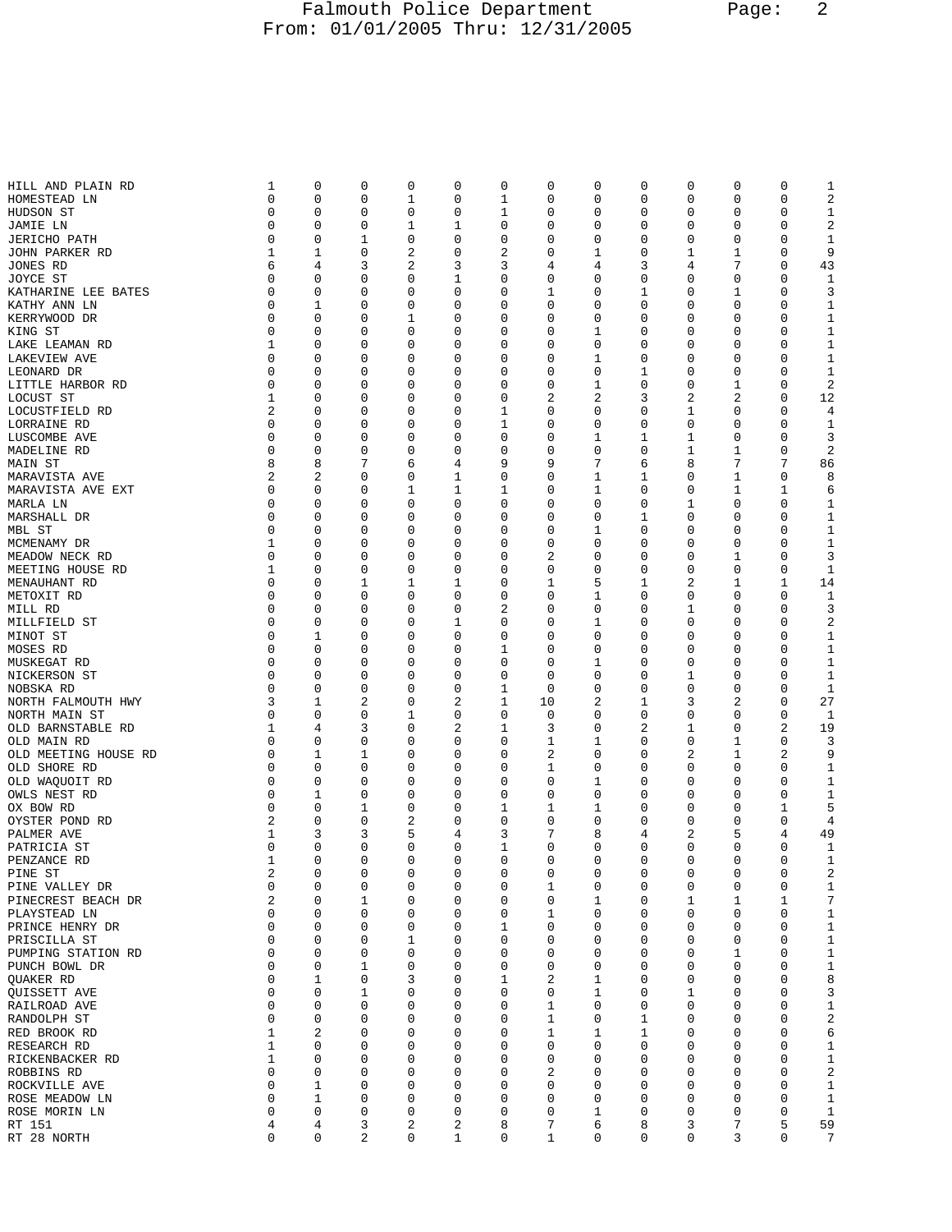## Falmouth Police Department Page: 2 From: 01/01/2005 Thru: 12/31/2005

| HILL AND PLAIN RD    | 1           | 0           | 0 | 0 | 0 | 0           | 0  | 0 | 0 | 0 | 0           | 0              | 1               |
|----------------------|-------------|-------------|---|---|---|-------------|----|---|---|---|-------------|----------------|-----------------|
| HOMESTEAD LN         | 0           | 0           | 0 | 1 | 0 | $\mathbf 1$ | 0  | 0 | 0 | 0 | 0           | 0              | $\sqrt{2}$      |
|                      |             |             |   |   |   |             |    |   |   |   |             |                |                 |
| HUDSON ST            | $\mathbf 0$ | 0           | 0 | 0 | 0 | 1           | 0  | 0 | 0 | 0 | 0           | 0              | $\mathbf{1}$    |
| JAMIE LN             | 0           | 0           | 0 | 1 | 1 | 0           | 0  | 0 | 0 | 0 | 0           | 0              | 2               |
| <b>JERICHO PATH</b>  | 0           | 0           | 1 | 0 | 0 | 0           | 0  | 0 | 0 | 0 | 0           | 0              | 1               |
|                      |             |             |   |   |   |             |    |   |   |   |             |                |                 |
| JOHN PARKER RD       | 1           | 1           | 0 | 2 | 0 | 2           | 0  | 1 | 0 | 1 | 1           | 0              | 9               |
| JONES RD             | 6           | 4           | 3 | 2 | 3 | 3           | 4  | 4 | 3 | 4 | 7           | 0              | 43              |
|                      | 0           | 0           | 0 | 0 | 1 | 0           | 0  | 0 | 0 | 0 | 0           | 0              | 1               |
| JOYCE ST             |             |             |   |   |   |             |    |   |   |   |             |                |                 |
| KATHARINE LEE BATES  | 0           | 0           | 0 | 0 | 0 | 0           | 1  | 0 | 1 | 0 | 1           | 0              | 3               |
| KATHY ANN LN         | 0           | 1           | 0 | 0 | 0 | 0           | 0  | 0 | 0 | 0 | 0           | 0              | 1               |
|                      |             |             |   |   |   |             |    |   |   |   |             |                |                 |
| KERRYWOOD DR         | 0           | 0           | 0 | 1 | 0 | 0           | 0  | 0 | 0 | 0 | 0           | 0              | 1               |
| KING ST              | $\mathbf 0$ | 0           | 0 | 0 | 0 | 0           | 0  | 1 | 0 | 0 | 0           | 0              | $\mathbf{1}$    |
|                      | 1           |             |   |   |   |             |    |   |   |   |             |                |                 |
| LAKE LEAMAN RD       |             | 0           | 0 | 0 | 0 | 0           | 0  | 0 | 0 | 0 | 0           | 0              | 1               |
| <b>LAKEVIEW AVE</b>  | 0           | 0           | 0 | 0 | 0 | 0           | 0  | 1 | 0 | 0 | 0           | 0              | 1               |
| LEONARD DR           | 0           | 0           | 0 | 0 | 0 | 0           | 0  | 0 | 1 | 0 | 0           | 0              | $\mathbf{1}$    |
|                      |             |             |   |   |   |             |    |   |   |   |             |                |                 |
| LITTLE HARBOR RD     | 0           | 0           | 0 | 0 | 0 | 0           | 0  | 1 | 0 | 0 | 1           | 0              | 2               |
| LOCUST ST            | 1           | 0           | 0 | 0 | 0 | 0           | 2  | 2 | 3 | 2 | 2           | 0              | 12              |
|                      |             |             |   |   |   |             |    |   |   |   |             |                |                 |
| LOCUSTFIELD RD       | 2           | 0           | 0 | 0 | 0 | 1           | 0  | 0 | 0 | 1 | 0           | 0              | 4               |
| LORRAINE RD          | 0           | 0           | 0 | 0 | 0 | 1           | 0  | 0 | 0 | 0 | 0           | 0              | 1               |
|                      |             |             |   |   |   |             |    |   |   |   |             |                |                 |
| LUSCOMBE AVE         | 0           | 0           | 0 | 0 | 0 | 0           | 0  | 1 | 1 | 1 | 0           | 0              | 3               |
| MADELINE RD          | 0           | 0           | 0 | 0 | 0 | 0           | 0  | 0 | 0 | 1 | 1           | 0              | 2               |
| MAIN ST              | 8           | 8           | 7 | 6 | 4 | 9           | 9  | 7 | 6 | 8 | 7           | 7              | 86              |
|                      |             |             |   |   |   |             |    |   |   |   |             |                |                 |
| MARAVISTA AVE        | 2           | 2           | 0 | 0 | 1 | 0           | 0  | 1 | 1 | 0 | 1           | 0              | 8               |
| MARAVISTA AVE EXT    | $\mathbf 0$ | 0           | 0 | 1 | 1 | 1           | 0  | 1 | 0 | 0 | $\mathbf 1$ | 1              | 6               |
|                      |             |             |   |   |   |             |    |   |   |   |             |                |                 |
| MARLA LN             | 0           | 0           | 0 | 0 | 0 | 0           | 0  | 0 | 0 | 1 | 0           | 0              | 1               |
| MARSHALL DR          | 0           | 0           | 0 | 0 | 0 | 0           | 0  | 0 | 1 | 0 | 0           | 0              | 1               |
|                      |             |             |   |   |   |             |    |   |   |   |             |                |                 |
| MBL ST               | 0           | 0           | 0 | 0 | 0 | 0           | 0  | 1 | 0 | 0 | 0           | 0              | $\mathbf{1}$    |
| MCMENAMY DR          | 1           | 0           | 0 | 0 | 0 | 0           | 0  | 0 | 0 | 0 | 0           | 0              | 1               |
| MEADOW NECK RD       | 0           | 0           | 0 | 0 | 0 | 0           | 2  | 0 | 0 | 0 | 1           | 0              | 3               |
|                      |             |             |   |   |   |             |    |   |   |   |             |                |                 |
| MEETING HOUSE RD     | 1           | 0           | 0 | 0 | 0 | $\mathbf 0$ | 0  | 0 | 0 | 0 | 0           | 0              | 1               |
| MENAUHANT RD         | 0           | 0           | 1 | 1 | 1 | 0           | 1  | 5 | 1 | 2 | 1           | 1              | 14              |
|                      |             |             |   |   |   |             |    |   |   |   |             |                |                 |
| METOXIT RD           | 0           | 0           | 0 | 0 | 0 | 0           | 0  | 1 | 0 | 0 | 0           | 0              | 1               |
| MILL RD              | 0           | 0           | 0 | 0 | 0 | $\sqrt{2}$  | 0  | 0 | 0 | 1 | 0           | 0              | 3               |
|                      |             |             |   |   |   |             |    |   |   |   |             |                |                 |
| MILLFIELD ST         | 0           | 0           | 0 | 0 | 1 | 0           | 0  | 1 | 0 | 0 | 0           | 0              | $\sqrt{2}$      |
| MINOT ST             | 0           | 1           | 0 | 0 | 0 | 0           | 0  | 0 | 0 | 0 | 0           | 0              | 1               |
| MOSES RD             | $\mathbf 0$ | 0           | 0 | 0 | 0 | 1           | 0  | 0 | 0 | 0 | 0           | 0              | $\mathbf{1}$    |
|                      |             |             |   |   |   |             |    |   |   |   |             |                |                 |
| MUSKEGAT RD          | 0           | 0           | 0 | 0 | 0 | 0           | 0  | 1 | 0 | 0 | 0           | 0              | 1               |
| NICKERSON ST         | 0           | 0           | 0 | 0 | 0 | 0           | 0  | 0 | 0 | 1 | 0           | 0              | 1               |
|                      |             |             |   |   |   |             |    |   |   |   |             |                |                 |
| NOBSKA RD            | 0           | 0           | 0 | 0 | 0 | 1           | 0  | 0 | 0 | 0 | 0           | 0              | 1               |
| NORTH FALMOUTH HWY   | 3           | 1           | 2 | 0 | 2 | 1           | 10 | 2 | 1 | 3 | 2           | 0              | 27              |
|                      |             |             |   |   |   |             |    |   |   |   |             |                |                 |
| NORTH MAIN ST        | 0           | 0           | 0 | 1 | 0 | 0           | 0  | 0 | 0 | 0 | 0           | 0              | 1               |
| OLD BARNSTABLE RD    | 1           | 4           | 3 | 0 | 2 | 1           | 3  | 0 | 2 | 1 | 0           | $\overline{2}$ | 19              |
| OLD MAIN RD          | 0           | 0           | 0 | 0 | 0 | 0           | 1  | 1 | 0 | 0 | 1           | 0              | 3               |
|                      |             |             |   |   |   |             |    |   |   |   |             |                |                 |
| OLD MEETING HOUSE RD | 0           | 1           | 1 | 0 | 0 | 0           | 2  | 0 | 0 | 2 | 1           | 2              | 9               |
| OLD SHORE RD         | 0           | 0           | 0 | 0 | 0 | 0           | 1  | 0 | 0 | 0 | 0           | 0              | 1               |
|                      |             |             |   |   |   |             |    |   |   |   |             |                |                 |
| OLD WAQUOIT RD       | 0           | 0           | 0 | 0 | 0 | 0           | 0  | 1 | 0 | 0 | 0           | 0              | 1               |
| OWLS NEST RD         | 0           | 1           | 0 | 0 | 0 | 0           | 0  | 0 | 0 | 0 | 0           | 0              | 1               |
| OX BOW RD            | 0           | 0           | 1 | 0 | 0 | $\mathbf 1$ | 1  | 1 | 0 | 0 | 0           | 1              | 5               |
|                      |             |             |   |   |   |             |    |   |   |   |             |                |                 |
| OYSTER POND RD       | 2           | 0           | 0 | 2 | 0 | 0           | 0  | 0 | 0 | 0 | 0           | 0              | 4               |
| PALMER AVE           | 1           | 3           | 3 | 5 | 4 | 3           | 7  | 8 | 4 | 2 | 5           | 4              | 49              |
|                      |             |             |   |   |   |             |    |   |   |   |             |                |                 |
| PATRICIA ST          | 0           | 0           | 0 | 0 | 0 | 1           | 0  | 0 | 0 | 0 | 0           | 0              | 1               |
| PENZANCE RD          | 1           | 0           | 0 | 0 | 0 | 0           | 0  | 0 | 0 | 0 | 0           | 0              | 1               |
| PINE ST              | 2           | 0           | 0 | 0 | 0 | 0           | 0  | 0 | 0 | 0 | 0           | 0              | 2               |
|                      |             |             |   |   |   |             |    |   |   |   |             |                |                 |
| PINE VALLEY DR       | 0           | 0           | 0 | 0 | 0 | 0           | 1  | 0 | 0 | 0 | 0           | 0              | 1               |
| PINECREST BEACH DR   | 2           | 0           | 1 | 0 | 0 | 0           | 0  | 1 | 0 | 1 | 1           | 1              | 7               |
|                      |             |             |   |   |   |             |    |   |   |   |             |                |                 |
| PLAYSTEAD LN         | 0           | 0           | 0 | 0 | 0 | 0           | 1  | 0 | 0 | 0 | 0           | 0              | $\mathbf{1}$    |
| PRINCE HENRY DR      | 0           | 0           | 0 | 0 | 0 | 1           | 0  | 0 | 0 | 0 | 0           | 0              | $1\,$           |
| PRISCILLA ST         | 0           | 0           | 0 | 1 | 0 | 0           | 0  | 0 | 0 | 0 | 0           | 0              | $1\,$           |
|                      |             |             |   |   |   |             |    |   |   |   |             |                |                 |
| PUMPING STATION RD   | 0           | 0           | 0 | 0 | 0 | 0           | 0  | 0 | 0 | 0 | 1           | 0              | 1               |
| PUNCH BOWL DR        | $\mathbf 0$ | 0           | 1 | 0 | 0 | $\mathbf 0$ | 0  | 0 | 0 | 0 | 0           | 0              | $1\,$           |
|                      |             |             |   |   |   |             |    |   |   |   |             |                |                 |
| QUAKER RD            | 0           | 1           | 0 | 3 | 0 | 1           | 2  | 1 | 0 | 0 | 0           | 0              | 8               |
| <b>OUISSETT AVE</b>  | 0           | 0           | 1 | 0 | 0 | 0           | 0  | 1 | 0 | 1 | 0           | 0              | 3               |
| RAILROAD AVE         | 0           | $\mathbf 0$ | 0 | 0 | 0 | $\mathbf 0$ | 1  | 0 | 0 | 0 | 0           | 0              | $\mathbf 1$     |
|                      |             |             |   |   |   |             |    |   |   |   |             |                |                 |
| RANDOLPH ST          | 0           | 0           | 0 | 0 | 0 | $\mathbf 0$ | 1  | 0 | 1 | 0 | 0           | 0              | 2               |
| RED BROOK RD         | 1           | 2           | 0 | 0 | 0 | 0           | 1  | 1 | 1 | 0 | 0           | 0              | 6               |
|                      |             |             |   |   |   |             |    |   |   |   |             |                |                 |
| RESEARCH RD          | 1           | 0           | 0 | 0 | 0 | 0           | 0  | 0 | 0 | 0 | 0           | 0              | $1\,$           |
| RICKENBACKER RD      | 1           | 0           | 0 | 0 | 0 | $\mathbf 0$ | 0  | 0 | 0 | 0 | 0           | 0              | 1               |
|                      | 0           | 0           | 0 | 0 | 0 | 0           | 2  | 0 | 0 | 0 | 0           | 0              | 2               |
| ROBBINS RD           |             |             |   |   |   |             |    |   |   |   |             |                |                 |
| ROCKVILLE AVE        | 0           | 1           | 0 | 0 | 0 | 0           | 0  | 0 | 0 | 0 | 0           | 0              | $1\,$           |
| ROSE MEADOW LN       | 0           | 1           | 0 | 0 | 0 | $\mathbf 0$ | 0  | 0 | 0 | 0 | 0           | 0              | 1               |
|                      |             |             |   |   |   |             |    |   |   |   |             |                |                 |
| ROSE MORIN LN        | 0           | 0           | 0 | 0 | 0 | 0           | 0  | 1 | 0 | 0 | 0           | 0              | 1               |
| RT 151               | 4           | 4           | 3 | 2 | 2 | 8           | 7  | 6 | 8 | 3 | 7           | 5              | 59              |
| RT 28 NORTH          | 0           | 0           | 2 | 0 | 1 | 0           | 1  | 0 | 0 | 0 | 3           | 0              | $7\phantom{.0}$ |
|                      |             |             |   |   |   |             |    |   |   |   |             |                |                 |